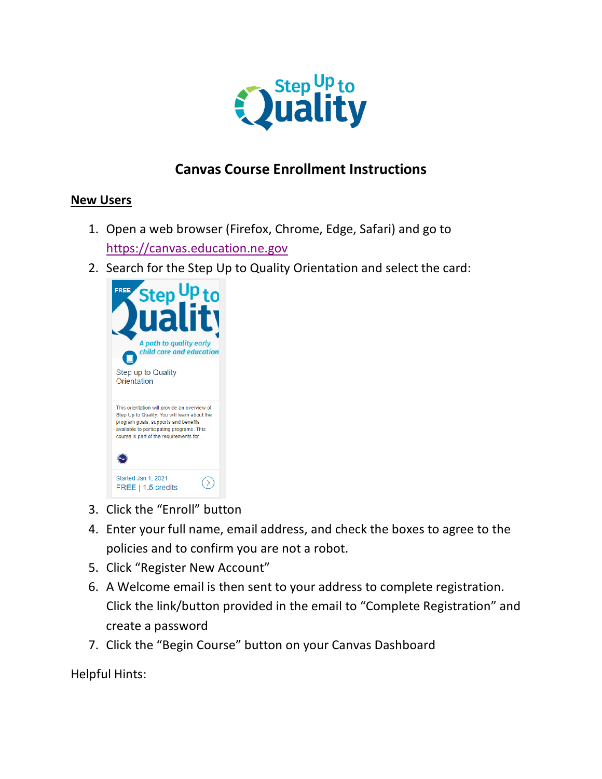

## **Canvas Course Enrollment Instructions**

## **New Users**

- 1. Open a web browser (Firefox, Chrome, Edge, Safari) and go to [https://canvas.education.ne.gov](https://canvas.education.ne.gov/)
- 2. Search for the Step Up to Quality Orientation and select the card:



- 3. Click the "Enroll" button
- 4. Enter your full name, email address, and check the boxes to agree to the policies and to confirm you are not a robot.
- 5. Click "Register New Account"
- 6. A Welcome email is then sent to your address to complete registration. Click the link/button provided in the email to "Complete Registration" and create a password
- 7. Click the "Begin Course" button on your Canvas Dashboard

Helpful Hints: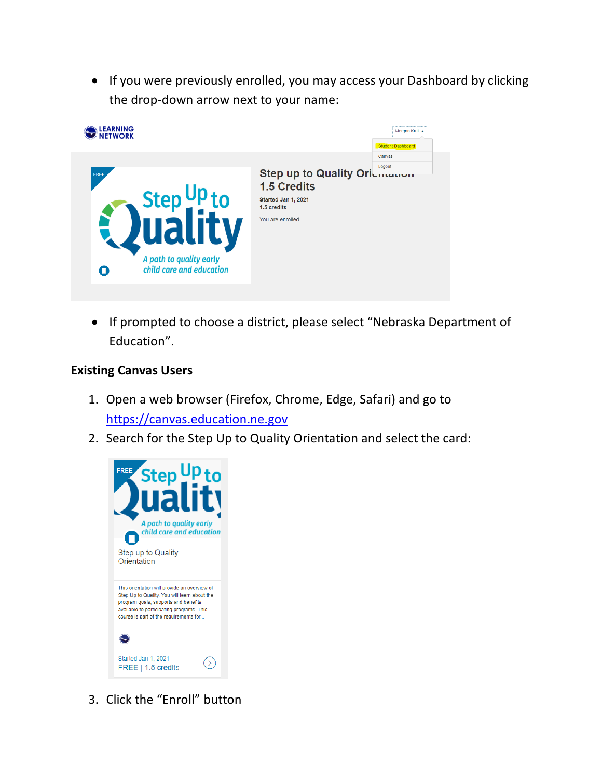• If you were previously enrolled, you may access your Dashboard by clicking the drop-down arrow next to your name:



• If prompted to choose a district, please select "Nebraska Department of Education".

## **Existing Canvas Users**

- 1. Open a web browser (Firefox, Chrome, Edge, Safari) and go to [https://canvas.education.ne.gov](https://canvas.education.ne.gov/)
- 2. Search for the Step Up to Quality Orientation and select the card:



3. Click the "Enroll" button